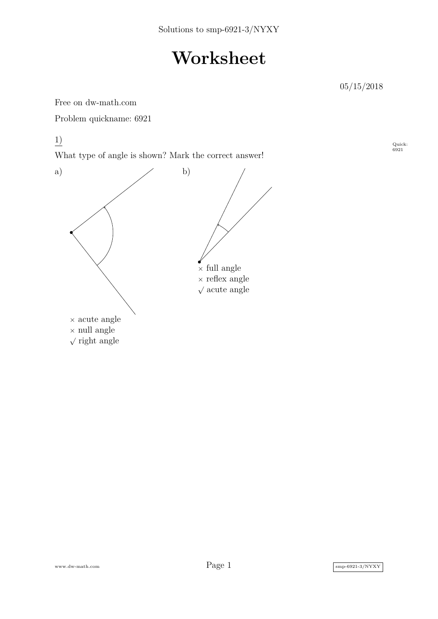## **Worksheet**

05/15/2018

Quick: 6921

Free on dw-math.com

Problem quickname: 6921

1)

What type of angle is shown? Mark the correct answer!



www.dw-math.com  $\text{Page 1}$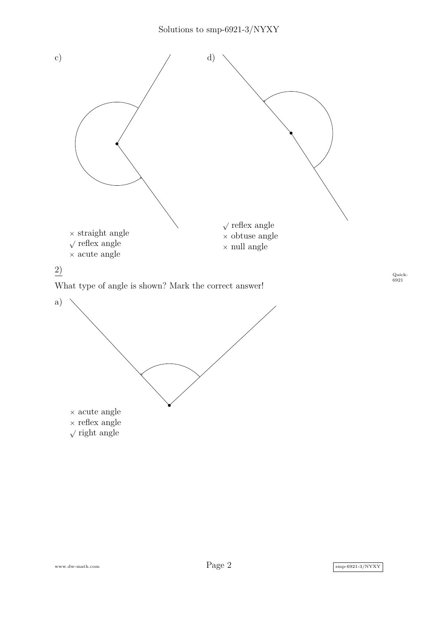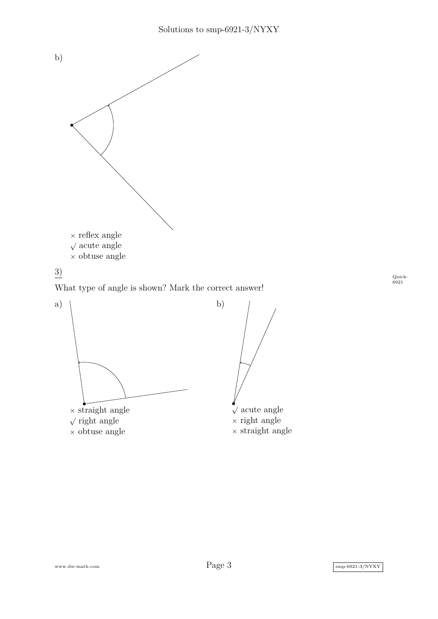



What type of angle is shown? Mark the correct answer!



Quick: 6921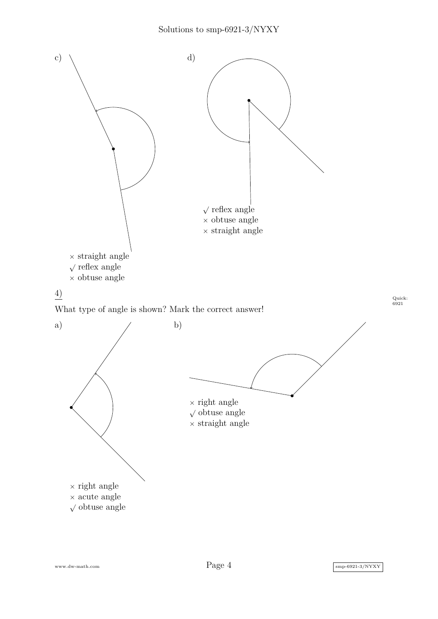

www.dw-math.com  $Page\ 4$  smp-6921-3/NYXY